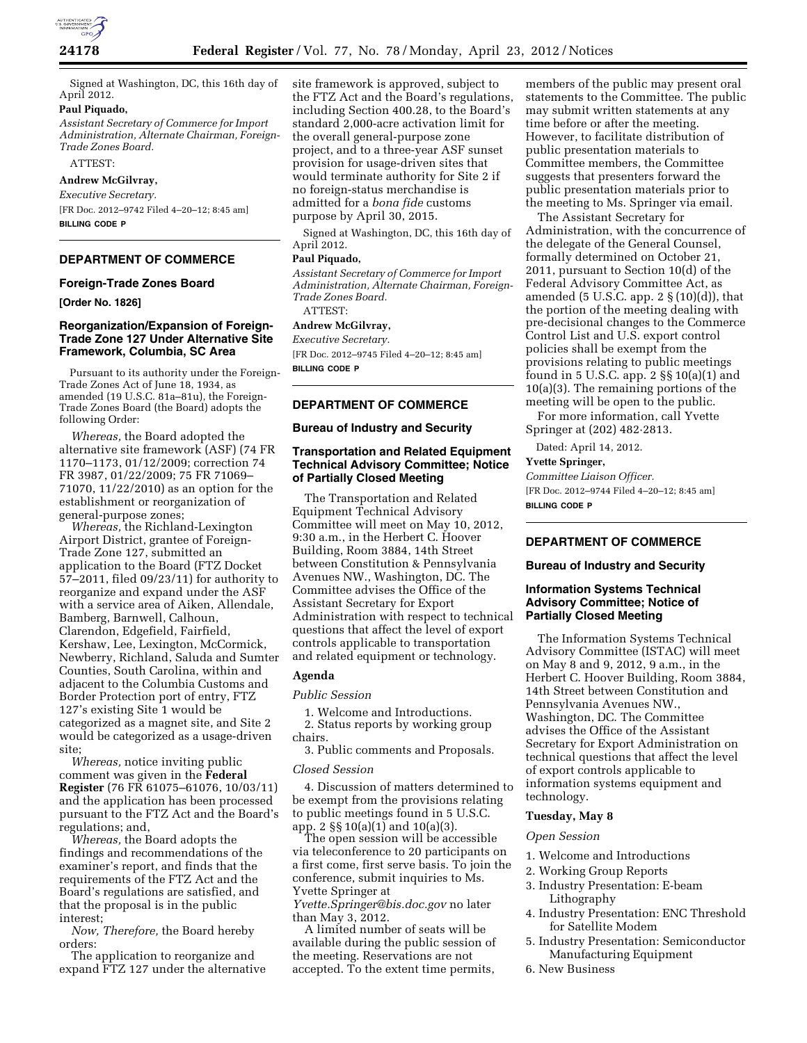

Signed at Washington, DC, this 16th day of April 2012.

# **Paul Piquado,**

*Assistant Secretary of Commerce for Import Administration, Alternate Chairman, Foreign-Trade Zones Board.* 

ATTEST:

# **Andrew McGilvray,**

*Executive Secretary.*  [FR Doc. 2012–9742 Filed 4–20–12; 8:45 am] **BILLING CODE P** 

## **DEPARTMENT OF COMMERCE**

#### **Foreign-Trade Zones Board**

**[Order No. 1826]** 

#### **Reorganization/Expansion of Foreign-Trade Zone 127 Under Alternative Site Framework, Columbia, SC Area**

Pursuant to its authority under the Foreign-Trade Zones Act of June 18, 1934, as amended (19 U.S.C. 81a–81u), the Foreign-Trade Zones Board (the Board) adopts the following Order:

*Whereas,* the Board adopted the alternative site framework (ASF) (74 FR 1170–1173, 01/12/2009; correction 74 FR 3987, 01/22/2009; 75 FR 71069– 71070, 11/22/2010) as an option for the establishment or reorganization of general-purpose zones;

*Whereas,* the Richland-Lexington Airport District, grantee of Foreign-Trade Zone 127, submitted an application to the Board (FTZ Docket 57–2011, filed 09/23/11) for authority to reorganize and expand under the ASF with a service area of Aiken, Allendale, Bamberg, Barnwell, Calhoun, Clarendon, Edgefield, Fairfield, Kershaw, Lee, Lexington, McCormick, Newberry, Richland, Saluda and Sumter Counties, South Carolina, within and adjacent to the Columbia Customs and Border Protection port of entry, FTZ 127's existing Site 1 would be categorized as a magnet site, and Site 2 would be categorized as a usage-driven site;

*Whereas,* notice inviting public comment was given in the **Federal Register** (76 FR 61075–61076, 10/03/11) and the application has been processed pursuant to the FTZ Act and the Board's regulations; and,

*Whereas,* the Board adopts the findings and recommendations of the examiner's report, and finds that the requirements of the FTZ Act and the Board's regulations are satisfied, and that the proposal is in the public interest;

*Now, Therefore,* the Board hereby orders:

The application to reorganize and expand FTZ 127 under the alternative site framework is approved, subject to the FTZ Act and the Board's regulations, including Section 400.28, to the Board's standard 2,000-acre activation limit for the overall general-purpose zone project, and to a three-year ASF sunset provision for usage-driven sites that would terminate authority for Site 2 if no foreign-status merchandise is admitted for a *bona fide* customs purpose by April 30, 2015.

Signed at Washington, DC, this 16th day of April 2012.

#### **Paul Piquado,**

*Assistant Secretary of Commerce for Import Administration, Alternate Chairman, Foreign-Trade Zones Board.*  ATTEST:

# **Andrew McGilvray,**

*Executive Secretary.* 

[FR Doc. 2012–9745 Filed 4–20–12; 8:45 am] **BILLING CODE P** 

# **DEPARTMENT OF COMMERCE**

## **Bureau of Industry and Security**

## **Transportation and Related Equipment Technical Advisory Committee; Notice of Partially Closed Meeting**

The Transportation and Related Equipment Technical Advisory Committee will meet on May 10, 2012, 9:30 a.m., in the Herbert C. Hoover Building, Room 3884, 14th Street between Constitution & Pennsylvania Avenues NW., Washington, DC. The Committee advises the Office of the Assistant Secretary for Export Administration with respect to technical questions that affect the level of export controls applicable to transportation and related equipment or technology.

## **Agenda**

#### *Public Session*

1. Welcome and Introductions. 2. Status reports by working group

chairs. 3. Public comments and Proposals.

# *Closed Session*

4. Discussion of matters determined to be exempt from the provisions relating to public meetings found in 5 U.S.C. app. 2 §§ 10(a)(1) and 10(a)(3).

The open session will be accessible via teleconference to 20 participants on a first come, first serve basis. To join the conference, submit inquiries to Ms. Yvette Springer at

*[Yvette.Springer@bis.doc.gov](mailto:Yvette.Springer@bis.doc.gov)* no later than May 3, 2012.

A limited number of seats will be available during the public session of the meeting. Reservations are not accepted. To the extent time permits,

members of the public may present oral statements to the Committee. The public may submit written statements at any time before or after the meeting. However, to facilitate distribution of public presentation materials to Committee members, the Committee suggests that presenters forward the public presentation materials prior to the meeting to Ms. Springer via email.

The Assistant Secretary for Administration, with the concurrence of the delegate of the General Counsel, formally determined on October 21, 2011, pursuant to Section 10(d) of the Federal Advisory Committee Act, as amended (5 U.S.C. app. 2  $\S(10)(d)$ ), that the portion of the meeting dealing with pre-decisional changes to the Commerce Control List and U.S. export control policies shall be exempt from the provisions relating to public meetings found in 5 U.S.C. app. 2 §§ 10(a)(1) and 10(a)(3). The remaining portions of the meeting will be open to the public.

For more information, call Yvette Springer at (202) 482·2813.

Dated: April 14, 2012.

### **Yvette Springer,**

*Committee Liaison Officer.*  [FR Doc. 2012–9744 Filed 4–20–12; 8:45 am] **BILLING CODE P** 

## **DEPARTMENT OF COMMERCE**

#### **Bureau of Industry and Security**

## **Information Systems Technical Advisory Committee; Notice of Partially Closed Meeting**

The Information Systems Technical Advisory Committee (ISTAC) will meet on May 8 and 9, 2012, 9 a.m., in the Herbert C. Hoover Building, Room 3884, 14th Street between Constitution and Pennsylvania Avenues NW., Washington, DC. The Committee advises the Office of the Assistant Secretary for Export Administration on technical questions that affect the level of export controls applicable to information systems equipment and technology.

# **Tuesday, May 8**

#### *Open Session*

- 1. Welcome and Introductions
- 2. Working Group Reports
- 3. Industry Presentation: E-beam Lithography
- 4. Industry Presentation: ENC Threshold for Satellite Modem
- 5. Industry Presentation: Semiconductor Manufacturing Equipment
- 6. New Business